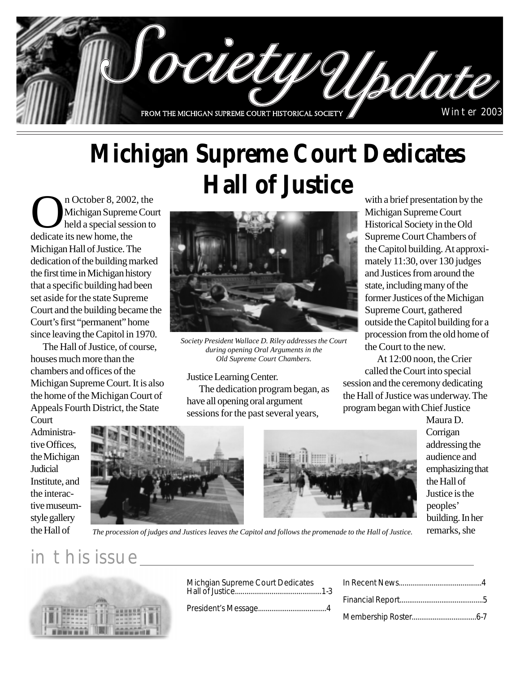

# **Michigan Supreme Court Dedicates Hall of Justice**

n October 8, 2002, the<br>Michigan Supreme Council<br>dedicate its new home the Michigan Supreme Court held a special session to dedicate its new home, the Michigan Hall of Justice. The dedication of the building marked the first time in Michigan history that a specific building had been set aside for the state Supreme Court and the building became the Court's first "permanent" home since leaving the Capitol in 1970.

The Hall of Justice, of course, houses much more than the chambers and offices of the Michigan Supreme Court. It is also the home of the Michigan Court of Appeals Fourth District, the State



*Society President Wallace D. Riley addresses the Court during opening Oral Arguments in the Old Supreme Court Chambers.*

Justice Learning Center. The dedication program began, as have all opening oral argument sessions for the past several years,

with a brief presentation by the Michigan Supreme Court Historical Society in the Old Supreme Court Chambers of the Capitol building. At approximately 11:30, over 130 judges and Justices from around the state, including many of the former Justices of the Michigan Supreme Court, gathered outside the Capitol building for a procession from the old home of the Court to the new.

At 12:00 noon, the Crier called the Court into special session and the ceremony dedicating the Hall of Justice was underway. The program began with Chief Justice

**Court** Administrative Offices, the Michigan **Judicial** Institute, and the interactive museumstyle gallery the Hall of



Maura D. Corrigan addressing the audience and emphasizing that the Hall of Justice is the peoples' building. In her remarks, she

*The procession of judges and Justices leaves the Capitol and follows the promenade to the Hall of Justice.*

## in this issue

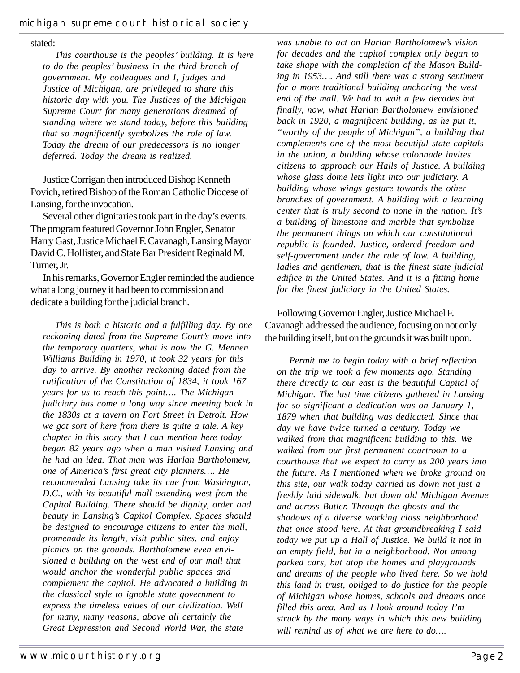#### stated:

*This courthouse is the peoples' building. It is here to do the peoples' business in the third branch of government. My colleagues and I, judges and Justice of Michigan, are privileged to share this historic day with you. The Justices of the Michigan Supreme Court for many generations dreamed of standing where we stand today, before this building that so magnificently symbolizes the role of law. Today the dream of our predecessors is no longer deferred. Today the dream is realized.*

Justice Corrigan then introduced Bishop Kenneth Povich, retired Bishop of the Roman Catholic Diocese of Lansing, for the invocation.

Several other dignitaries took part in the day's events. The program featured Governor John Engler, Senator Harry Gast, Justice Michael F. Cavanagh, Lansing Mayor David C. Hollister, and State Bar President Reginald M. Turner, Jr.

In his remarks, Governor Engler reminded the audience what a long journey it had been to commission and dedicate a building for the judicial branch.

*This is both a historic and a fulfilling day. By one reckoning dated from the Supreme Court's move into the temporary quarters, what is now the G. Mennen Williams Building in 1970, it took 32 years for this day to arrive. By another reckoning dated from the ratification of the Constitution of 1834, it took 167 years for us to reach this point…. The Michigan judiciary has come a long way since meeting back in the 1830s at a tavern on Fort Street in Detroit. How we got sort of here from there is quite a tale. A key chapter in this story that I can mention here today began 82 years ago when a man visited Lansing and he had an idea. That man was Harlan Bartholomew, one of America's first great city planners…. He recommended Lansing take its cue from Washington, D.C., with its beautiful mall extending west from the Capitol Building. There should be dignity, order and beauty in Lansing's Capitol Complex. Spaces should be designed to encourage citizens to enter the mall, promenade its length, visit public sites, and enjoy picnics on the grounds. Bartholomew even envisioned a building on the west end of our mall that would anchor the wonderful public spaces and complement the capitol. He advocated a building in the classical style to ignoble state government to express the timeless values of our civilization. Well for many, many reasons, above all certainly the Great Depression and Second World War, the state*

*was unable to act on Harlan Bartholomew's vision for decades and the capitol complex only began to take shape with the completion of the Mason Building in 1953…. And still there was a strong sentiment for a more traditional building anchoring the west end of the mall. We had to wait a few decades but finally, now, what Harlan Bartholomew envisioned back in 1920, a magnificent building, as he put it, "worthy of the people of Michigan", a building that complements one of the most beautiful state capitals in the union, a building whose colonnade invites citizens to approach our Halls of Justice. A building whose glass dome lets light into our judiciary. A building whose wings gesture towards the other branches of government. A building with a learning center that is truly second to none in the nation. It's a building of limestone and marble that symbolize the permanent things on which our constitutional republic is founded. Justice, ordered freedom and self-government under the rule of law. A building, ladies and gentlemen, that is the finest state judicial edifice in the United States. And it is a fitting home for the finest judiciary in the United States.*

Following Governor Engler, Justice Michael F. Cavanagh addressed the audience, focusing on not only the building itself, but on the grounds it was built upon.

*Permit me to begin today with a brief reflection on the trip we took a few moments ago. Standing there directly to our east is the beautiful Capitol of Michigan. The last time citizens gathered in Lansing for so significant a dedication was on January 1, 1879 when that building was dedicated. Since that day we have twice turned a century. Today we walked from that magnificent building to this. We walked from our first permanent courtroom to a courthouse that we expect to carry us 200 years into the future. As I mentioned when we broke ground on this site, our walk today carried us down not just a freshly laid sidewalk, but down old Michigan Avenue and across Butler. Through the ghosts and the shadows of a diverse working class neighborhood that once stood here. At that groundbreaking I said today we put up a Hall of Justice. We build it not in an empty field, but in a neighborhood. Not among parked cars, but atop the homes and playgrounds and dreams of the people who lived here. So we hold this land in trust, obliged to do justice for the people of Michigan whose homes, schools and dreams once filled this area. And as I look around today I'm struck by the many ways in which this new building will remind us of what we are here to do….*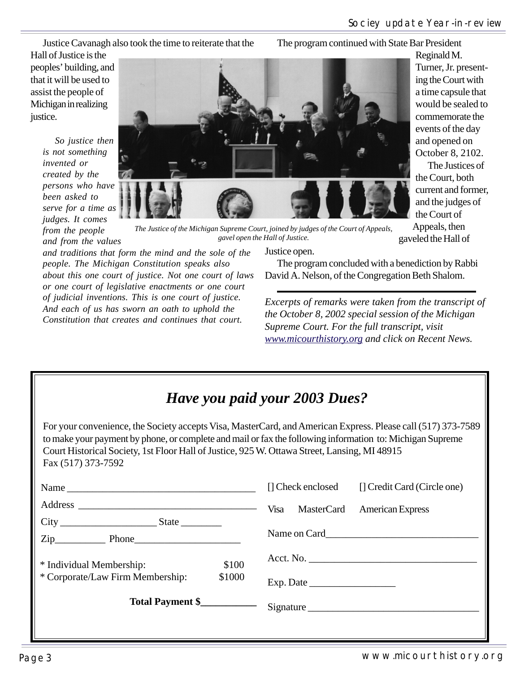Reginald M.

Turner, Jr. presenting the Court with a time capsule that would be sealed to commemorate the events of the day and opened on October 8, 2102. The Justices of

the Court, both current and former, and the judges of the Court of Appeals, then gaveled the Hall of

Justice Cavanagh also took the time to reiterate that the

The program continued with State Bar President

Hall of Justice is the peoples' building, and that it will be used to assist the people of Michigan in realizing justice.

> *So justice then is not something invented or created by the persons who have been asked to serve for a time as judges. It comes from the people and from the values*



*The Justice of the Michigan Supreme Court, joined by judges of the Court of Appeals, gavel open the Hall of Justice.*

*and traditions that form the mind and the sole of the people. The Michigan Constitution speaks also about this one court of justice. Not one court of laws or one court of legislative enactments or one court of judicial inventions. This is one court of justice. And each of us has sworn an oath to uphold the Constitution that creates and continues that court.*

Justice open.

The program concluded with a benediction by Rabbi David A. Nelson, of the Congregation Beth Shalom.

*Excerpts of remarks were taken from the transcript of the October 8, 2002 special session of the Michigan Supreme Court. For the full transcript, visit www.micourthistory.org and click on Recent News.*

## *Have you paid your 2003 Dues?*

For your convenience, the Society accepts Visa, MasterCard, and American Express. Please call (517) 373-7589 to make your payment by phone, or complete and mail or fax the following information to: Michigan Supreme Court Historical Society, 1st Floor Hall of Justice, 925 W. Ottawa Street, Lansing, MI 48915 Fax (517) 373-7592

|                                            | [] Check enclosed<br>[] Credit Card (Circle one) |
|--------------------------------------------|--------------------------------------------------|
|                                            | Visa<br>MasterCard American Express              |
|                                            |                                                  |
| $Zip$ Phone                                |                                                  |
| \$100<br>* Individual Membership:          |                                                  |
| * Corporate/Law Firm Membership:<br>\$1000 | Exp. Date                                        |
| Total Payment \$                           | Signature                                        |
|                                            |                                                  |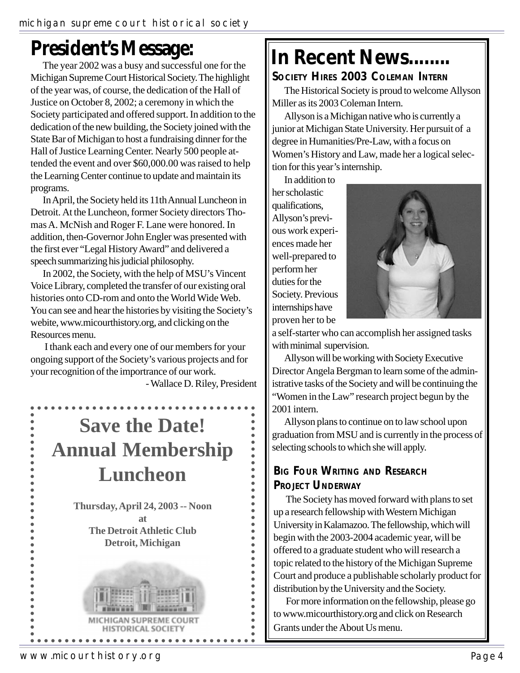# **President's Message:**

The year 2002 was a busy and successful one for the Michigan Supreme Court Historical Society. The highlight of the year was, of course, the dedication of the Hall of Justice on October 8, 2002; a ceremony in which the Society participated and offered support. In addition to the dedication of the new building, the Society joined with the State Bar of Michigan to host a fundraising dinner for the Hall of Justice Learning Center. Nearly 500 people attended the event and over \$60,000.00 was raised to help the Learning Center continue to update and maintain its programs.

In April, the Society held its 11th Annual Luncheon in Detroit. At the Luncheon, former Society directors Thomas A. McNish and Roger F. Lane were honored. In addition, then-Governor John Engler was presented with the first ever "Legal History Award" and delivered a speech summarizing his judicial philosophy.

In 2002, the Society, with the help of MSU's Vincent Voice Library, completed the transfer of our existing oral histories onto CD-rom and onto the World Wide Web. You can see and hear the histories by visiting the Society's webite, www.micourthistory.org, and clicking on the Resources menu.

 I thank each and every one of our members for your ongoing support of the Society's various projects and for your recognition of the importrance of our work.

- Wallace D. Riley, President

 $\bullet$  $\bullet$  $\bullet$ 

 $\ddot{\bullet}$  $\ddot{\bullet}$ 

# **Save the Date! Annual Membership Luncheon**

**Thursday, April 24, 2003 -- Noon at The Detroit Athletic Club Detroit, Michigan**



. . . . . . . . . .

# **In Recent News........**

#### **SOCIETY HIRES 2003 COLEMAN INTERN**

The Historical Society is proud to welcome Allyson Miller as its 2003 Coleman Intern.

Allyson is a Michigan native who is currently a junior at Michigan State University. Her pursuit of a degree in Humanities/Pre-Law, with a focus on Women's History and Law, made her a logical selection for this year's internship.

In addition to her scholastic qualifications, Allyson's previous work experiences made her well-prepared to perform her duties for the Society. Previous internships have proven her to be



a self-starter who can accomplish her assigned tasks with minimal supervision.

Allyson will be working with Society Executive Director Angela Bergman to learn some of the administrative tasks of the Society and will be continuing the "Women in the Law" research project begun by the 2001 intern.

Allyson plans to continue on to law school upon graduation from MSU and is currently in the process of selecting schools to which she will apply.

### **BIG FOUR WRITING AND RESEARCH PROJECT UNDERWAY**

The Society has moved forward with plans to set up a research fellowship with Western Michigan University in Kalamazoo. The fellowship, which will begin with the 2003-2004 academic year, will be offered to a graduate student who will research a topic related to the history of the Michigan Supreme Court and produce a publishable scholarly product for distribution by the University and the Society.

For more information on the fellowship, please go to www.micourthistory.org and click on Research Grants under the About Us menu.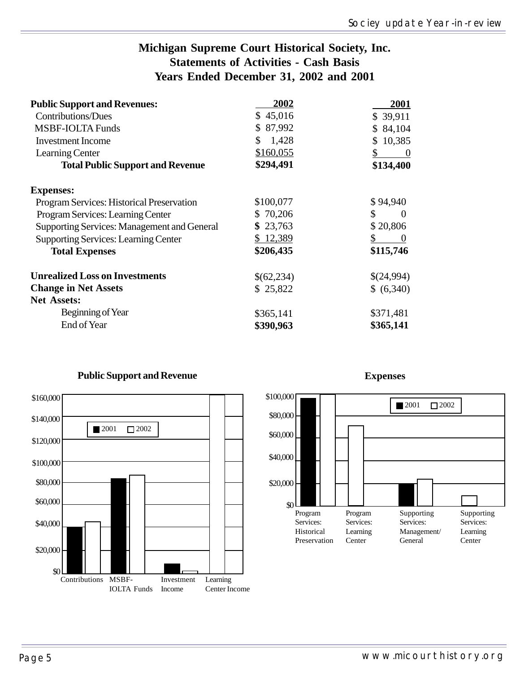### **Michigan Supreme Court Historical Society, Inc. Statements of Activities - Cash Basis Years Ended December 31, 2002 and 2001**

| <b>Public Support and Revenues:</b>                | 2002        | 2001             |
|----------------------------------------------------|-------------|------------------|
| <b>Contributions/Dues</b>                          | \$45,016    | \$39,911         |
| <b>MSBF-IOLTA Funds</b>                            | \$87,992    | \$84,104         |
| <b>Investment Income</b>                           | 1,428<br>\$ | 10,385           |
| Learning Center                                    | \$160,055   | $\boldsymbol{0}$ |
| <b>Total Public Support and Revenue</b>            | \$294,491   | \$134,400        |
| <b>Expenses:</b>                                   |             |                  |
| Program Services: Historical Preservation          | \$100,077   | \$94,940         |
| Program Services: Learning Center                  | \$70,206    | \$<br>$\Omega$   |
| <b>Supporting Services: Management and General</b> | \$23,763    | \$20,806         |
| <b>Supporting Services: Learning Center</b>        | \$12,389    | \$<br>$\theta$   |
| <b>Total Expenses</b>                              | \$206,435   | \$115,746        |
| <b>Unrealized Loss on Investments</b>              | \$(62,234)  | \$(24,994)       |
| <b>Change in Net Assets</b>                        | \$25,822    | \$ (6,340)       |
| <b>Net Assets:</b>                                 |             |                  |
| Beginning of Year                                  | \$365,141   | \$371,481        |
| End of Year                                        | \$390,963   | \$365,141        |
|                                                    |             |                  |



#### **Public Support and Revenue**

## **Expenses**

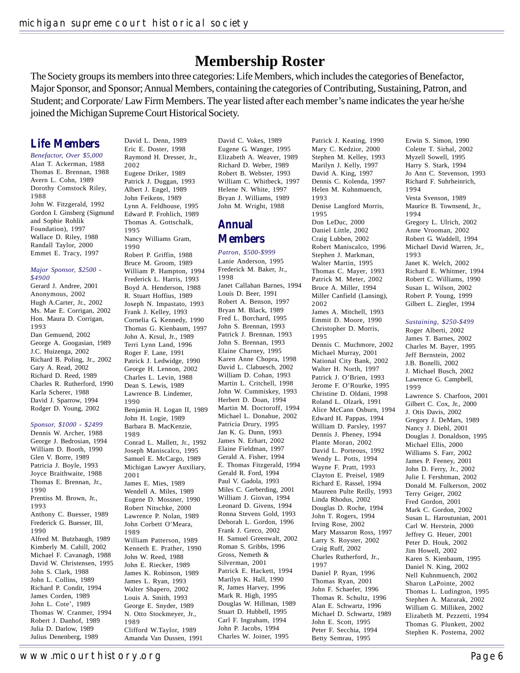## **Membership Roster**

The Society groups its members into three categories: Life Members, which includes the categories of Benefactor, Major Sponsor, and Sponsor; Annual Members, containing the categories of Contributing, Sustaining, Patron, and Student; and Corporate/ Law Firm Members. The year listed after each member's name indicates the year he/she joined the Michigan Supreme Court Historical Society.

### **Life Members**

*Benefactor, Over \$5,000* Alan T. Ackerman, 1988 Thomas E. Brennan, 1988 Avern L. Cohn, 1989 Dorothy Comstock Riley, 1988 John W. Fitzgerald, 1992 Gordon I. Ginsberg (Sigmund and Sophie Rohlik Foundation), 1997 Wallace D. Riley, 1988 Randall Taylor, 2000 Emmet E. Tracy, 1997

#### *Major Sponsor, \$2500 - \$4900*

Gerard J. Andree, 2001 Anonymous, 2002 Hugh A.Carter, Jr., 2002 Ms. Mae E. Corrigan, 2002 Hon. Maura D. Corrigan, 1993 Dan Gemuend, 2002 George A. Googasian, 1989 J.C. Huizenga, 2002 Richard B. Poling, Jr., 2002 Gary A. Read, 2002 Richard D. Reed, 1989 Charles R. Rutherford, 1990 Karla Scherer, 1988 David J. Sparrow, 1994 Rodger D. Young, 2002

#### *Sponsor, \$1000 - \$2499*

Dennis W. Archer, 1988 George J. Bedrosian, 1994 William D. Booth, 1990 Glen V. Borre, 1989 Patricia J. Boyle, 1993 Joyce Braithwaite, 1988 Thomas E. Brennan, Jr., 1990 Prentiss M. Brown, Jr., 1993 Anthony C. Buesser, 1989 Frederick G. Buesser, III, 1990 Alfred M. Butzbaugh, 1989 Kimberly M. Cahill, 2002 Michael F. Cavanagh, 1988 David W. Christensen, 1995 John S. Clark, 1988 John L. Collins, 1989 Richard P. Condit, 1994 James Corden, 1989 John L. Cote', 1989 Thomas W. Cranmer, 1994 Robert J. Danhof, 1989 Julia D. Darlow, 1989 Julius Denenberg, 1989

David L. Denn, 1989 Eric E. Doster, 1998 Raymond H. Dresser, Jr., 2002 Eugene Driker, 1989 Patrick J. Duggan, 1993 Albert J. Engel, 1989 John Feikens, 1989 Lynn A. Feldhouse, 1995 Edward P. Frohlich, 1989 Thomas A. Gottschalk, 1995

Nancy Williams Gram, 1990 Robert P. Griffin, 1988 Bruce M. Groom, 1989 William P. Hampton, 1994 Frederick L. Harris, 1993 Boyd A. Henderson, 1988 R. Stuart Hoffius, 1989 Joseph N. Impastato, 1993 Frank J. Kelley, 1993 Cornelia G. Kennedy, 1990 Thomas G. Kienbaum, 1997 John A. Krsul, Jr., 1989 Terri Lynn Land, 1996 Roger F. Lane, 1991 Patrick J. Ledwidge, 1990 George H. Lennon, 2002 Charles L. Levin, 1988 Dean S. Lewis, 1989 Lawrence B. Lindemer, 1990 Benjamin H. Logan II, 1989 John H. Logie, 1989 Barbara B. MacKenzie, 1989 Conrad L. Mallett, Jr., 1992 Joseph Maniscalco, 1995 Samuel E. McCargo, 1989 Michigan Lawyer Auxiliary, 2001 James E. Mies, 1989 Wendell A. Miles, 1989 Eugene D. Mossner, 1990 Robert Nitschke, 2000 Lawrence P. Nolan, 1989 John Corbett O'Meara, 1989 William Patterson, 1989 Kenneth E. Prather, 1990 John W. Reed, 1988 John E. Riecker, 1989 James K. Robinson, 1989 James L. Ryan, 1993 Walter Shapero, 2002 Louis A. Smith, 1993 George E. Snyder, 1989 N. Otto Stockmeyer, Jr., 1989 Clifford W.Taylor, 1989 Amanda Van Dussen, 1991

David C. Vokes, 1989 Eugene G. Wanger, 1995 Elizabeth A. Weaver, 1989 Richard D. Weber, 1989 Robert B. Webster, 1993 William C. Whitbeck, 1997 Helene N. White, 1997 Bryan J. Williams, 1989 John M. Wright, 1988

### **Annual Members**

*Patron, \$500-\$999* Lanie Anderson, 1995 Frederick M. Baker, Jr., 1998 Janet Callahan Barnes, 1994 Louis D. Beer, 1991 Robert A. Benson, 1997 Bryan M. Black, 1989 Fred L. Borchard, 1995 John S. Brennan, 1993 Patrick J. Brennan, 1993 John S. Brennan, 1993 Elaine Charney, 1995 Karen Anne Chopra, 1998 David L. Clabuesch, 2002 William D. Cohan, 1993 Martin L. Critchell, 1998 John W. Cummiskey, 1993 Herbert D. Doan, 1994 Martin M. Doctoroff, 1994 Michael L. Donahue, 2002 Patricia Drury, 1995 Jan K. G. Dunn, 1993 James N. Erhart, 2002 Elaine Fieldman, 1997 Gerald A. Fisher, 1994 E. Thomas Fitzgerald, 1994 Gerald R. Ford, 1994 Paul V. Gadola, 1993 Miles C. Gerberding, 2001 William J. Giovan, 1994 Leonard D. Givens, 1994 Ronna Stevens Gold, 1993 Deborah L. Gordon, 1996 Frank J. Greco, 2002 H. Samuel Greenwalt, 2002 Roman S. Gribbs, 1996 Gross, Nemeth & Silverman, 2001 Patrick E. Hackett, 1994 Marilyn K. Hall, 1990 R, James Harvey, 1996 Mark R. High, 1995 Douglas W. Hillman, 1989 Stuart D. Hubbell, 1995 Carl F. Ingraham, 1994 John P. Jacobs, 1994 Charles W. Joiner, 1995

Patrick J. Keating, 1990 Mary C. Kedzior, 2000 Stephen M. Kelley, 1993 Marilyn J. Kelly, 1997 David A. King, 1997 Dennis C. Kolenda, 1997 Helen M. Kuhnmuench, 1993 Denise Langford Morris, 1995 Don LeDuc, 2000 Daniel Little, 2002 Craig Lubben, 2002 Robert Maniscalco, 1996 Stephen J. Markman, Walter Martin, 1995 Thomas C. Mayer, 1993 Patrick M. Meter, 2002 Bruce A. Miller, 1994 Miller Canfield (Lansing), 2002 James A. Mitchell, 1993 Emmit D. Moore, 1990 Christopher D. Morris, 1995 Dennis C. Muchmore, 2002 Michael Murray, 2001 National City Bank, 2002 Walter H. North, 1997 Patrick J. O'Brien, 1993 Jerome F. O'Rourke, 1995 Christine D. Oldani, 1998 Roland L. Olzark, 1991 Alice McCann Osburn, 1994 Edward H. Pappas, 1994 William D. Parsley, 1997 Dennis J. Pheney, 1994 Plante Moran, 2002 David L. Porteous, 1992 Wendy L. Potts, 1994 Wayne F. Pratt, 1993 Clayton E. Preisel, 1989 Richard E. Rassel, 1994 Maureen Pulte Reilly, 1993 Linda Rhodus, 2002 Douglas D. Roche, 1994 John T. Rogers, 1994 Irving Rose, 2002 Mary Massaron Ross, 1997 Larry S. Royster, 2002 Craig Ruff, 2002 Charles Rutherford, Jr., 1997 Daniel P. Ryan, 1996 Thomas Ryan, 2001 John F. Schaefer, 1996 Thomas R. Schultz, 1996 Alan E. Schwartz, 1996 Michael D. Schwartz, 1989 John E. Scott, 1995 Peter F. Secchia, 1994 Betty Semrau, 1995

Erwin S. Simon, 1990 Colette T. Sirhal, 2002 Myzell Sowell, 1995 Harry S. Stark, 1994 Jo Ann C. Stevenson, 1993 Richard F. Suhrheinrich, 1994 Vesta Svenson, 1989 Maurice B. Townsend, Jr., 1994 Gregory L. Ulrich, 2002 Anne Vrooman, 2002 Robert G. Waddell, 1994 Michael David Warren, Jr., 1993 Janet K. Welch, 2002 Richard E. Whitmer, 1994 Robert C. Williams, 1990 Susan L. Wilson, 2002 Robert P. Young, 1999 Gilbert L. Ziegler, 1994

#### *Sustaining, \$250-\$499*

Roger Alberti, 2002 James T. Barnes, 2002 Charles M. Bayer, 1995 Jeff Bernstein, 2002 J.B. Bonelli, 2002 J. Michael Busch, 2002 Lawrence G. Campbell, 1999 Lawrence S. Charfoos, 2001 Gilbert C. Cox, Jr., 2000 J. Otis Davis, 2002 Gregory J. DeMars, 1989 Nancy J. Diehl, 2001 Douglas J. Donaldson, 1995 Michael Ellis, 2000 Williams S. Farr, 2002 James P. Feeney, 2001 John D. Ferry, Jr., 2002 Julie I. Fershtman, 2002 Donald M. Fulkerson, 2002 Terry Geiger, 2002 Fred Gordon, 2001 Mark C. Gordon, 2002 Susan L. Haroutunian, 2001 Carl W. Herstein, 2000 Jeffrey G. Heuer, 2001 Peter D. Houk, 2002 Jim Howell, 2002 Karen S. Kienbaum, 1995 Daniel N. King, 2002 Nell Kuhnmuench, 2002 Sharon LaPointe, 2002 Thomas L. Ludington, 1995 Stephen A. Mazurak, 2002 William G. Milliken, 2002 Elizabeth M. Pezzetti, 1994 Thomas G. Plunkett, 2002 Stephen K. Postema, 2002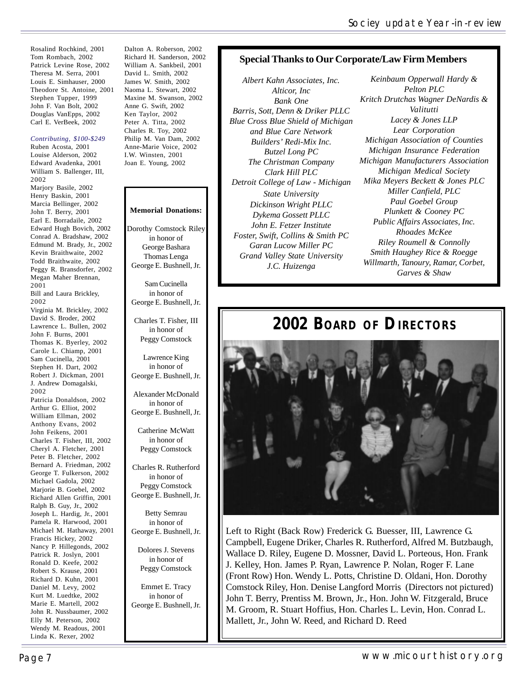Rosalind Rochkind, 2001 Tom Rombach, 2002 Patrick Levine Rose, 2002 Theresa M. Serra, 2001 Louis E. Simhauser, 2000 Theodore St. Antoine, 2001 Stephen Tupper, 1999 John F. Van Bolt, 2002 Douglas VanEpps, 2002 Carl E. VerBeek, 2002

#### *Contributing, \$100-\$249*

Ruben Acosta, 2001 Louise Alderson, 2002 Edward Avadenka, 2001 William S. Ballenger, III, 2002 Marjory Basile, 2002 Henry Baskin, 2001 Marcia Bellinger, 2002 John T. Berry, 2001 Earl E. Borradaile, 2002 Edward Hugh Bovich, 2002 Conrad A. Bradshaw, 2002 Edmund M. Brady, Jr., 2002 Kevin Braithwaite, 2002 Todd Braithwaite, 2002 Peggy R. Bransdorfer, 2002 Megan Maher Brennan, 2001 Bill and Laura Brickley, 2002 Virginia M. Brickley, 2002 David S. Broder, 2002 Lawrence L. Bullen, 2002 John F. Burns, 2001 Thomas K. Byerley, 2002 Carole L. Chiamp, 2001 Sam Cucinella, 2001 Stephen H. Dart, 2002 Robert J. Dickman, 2001 J. Andrew Domagalski, 2002 Patricia Donaldson, 2002 Arthur G. Elliot, 2002 William Ellman, 2002 Anthony Evans, 2002 John Feikens, 2001 Charles T. Fisher, III, 2002 Cheryl A. Fletcher, 2001 Peter B. Fletcher, 2002 Bernard A. Friedman, 2002 George T. Fulkerson, 2002 Michael Gadola, 2002 Marjorie B. Goebel, 2002 Richard Allen Griffin, 2001 Ralph B. Guy, Jr., 2002 Joseph L. Hardig, Jr., 2001 Pamela R. Harwood, 2001 Michael M. Hathaway, 2001 Francis Hickey, 2002 Nancy P. Hillegonds, 2002 Patrick R. Joslyn, 2001 Ronald D. Keefe, 2002 Robert S. Krause, 2001 Richard D. Kuhn, 2001 Daniel M. Levy, 2002 Kurt M. Luedtke, 2002 Marie E. Martell, 2002 John R. Nussbaumer, 2002 Elly M. Peterson, 2002 Wendy M. Readous, 2001 Linda K. Rexer, 2002

Dalton A. Roberson, 2002 Richard H. Sanderson, 2002 William A. Sankbeil, 2001 David L. Smith, 2002 James W. Smith, 2002 Naoma L. Stewart, 2002 Maxine M. Swanson, 2002 Anne G. Swift, 2002 Ken Taylor, 2002 Peter A. Titta, 2002 Charles R. Toy, 2002 Philip M. Van Dam, 2002 Anne-Marie Voice, 2002 I.W. Winsten, 2001 Joan E. Young, 2002

#### **Memorial Donations:**

Dorothy Comstock Riley in honor of George Bashara Thomas Lenga George E. Bushnell, Jr.

Sam Cucinella in honor of George E. Bushnell, Jr.

Charles T. Fisher, III in honor of Peggy Comstock

Lawrence King in honor of George E. Bushnell, Jr.

Alexander McDonald in honor of George E. Bushnell, Jr.

Catherine McWatt in honor of Peggy Comstock

Charles R. Rutherford in honor of Peggy Comstock George E. Bushnell, Jr.

Betty Semrau in honor of George E. Bushnell, Jr.

Dolores J. Stevens in honor of Peggy Comstock

Emmet E. Tracy in honor of George E. Bushnell, Jr.

#### **Special Thanks to Our Corporate/Law Firm Members**

*Albert Kahn Associates, Inc. Alticor, Inc Bank One Barris, Sott, Denn & Driker PLLC Blue Cross Blue Shield of Michigan and Blue Care Network Builders' Redi-Mix Inc. Butzel Long PC The Christman Company Clark Hill PLC Detroit College of Law - Michigan State University Dickinson Wright PLLC Dykema Gossett PLLC John E. Fetzer Institute Foster, Swift, Collins & Smith PC Garan Lucow Miller PC Grand Valley State University J.C. Huizenga*

*Keinbaum Opperwall Hardy & Pelton PLC Kritch Drutchas Wagner DeNardis & Valitutti Lacey & Jones LLP Lear Corporation Michigan Association of Counties Michigan Insurance Federation Michigan Manufacturers Association Michigan Medical Society Mika Meyers Beckett & Jones PLC Miller Canfield, PLC Paul Goebel Group Plunkett & Cooney PC Public Affairs Associates, Inc. Rhoades McKee Riley Roumell & Connolly Smith Haughey Rice & Roegge Willmarth, Tanoury, Ramar, Corbet, Garves & Shaw*

## **2002 BOARD OF DIRECTORS**



Left to Right (Back Row) Frederick G. Buesser, III, Lawrence G. Campbell, Eugene Driker, Charles R. Rutherford, Alfred M. Butzbaugh, Wallace D. Riley, Eugene D. Mossner, David L. Porteous, Hon. Frank J. Kelley, Hon. James P. Ryan, Lawrence P. Nolan, Roger F. Lane (Front Row) Hon. Wendy L. Potts, Christine D. Oldani, Hon. Dorothy Comstock Riley, Hon. Denise Langford Morris (Directors not pictured) John T. Berry, Prentiss M. Brown, Jr., Hon. John W. Fitzgerald, Bruce M. Groom, R. Stuart Hoffius, Hon. Charles L. Levin, Hon. Conrad L. Mallett, Jr., John W. Reed, and Richard D. Reed